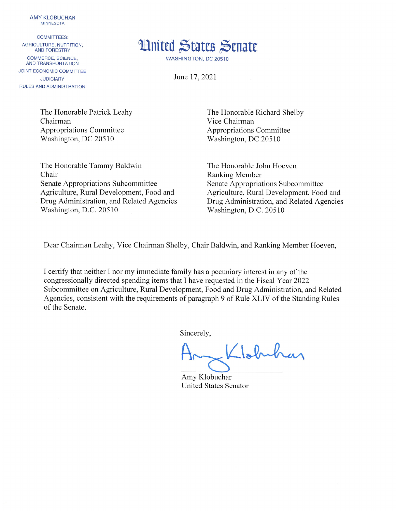**AMY KLOBUCHAR MINNESOTA** 

**COMMITTEES:** AGRICULTURE, NUTRITION. **AND FORESTRY** COMMERCE, SCIENCE, **AND TRANSPORTATION JOINT ECONOMIC COMMITTEE JUDICIARY** RULES AND ADMINISTRATION



WASHINGTON, DC 20510

June 17, 2021

The Honorable Patrick Leahy Chairman **Appropriations Committee** Washington, DC 20510

The Honorable Tammy Baldwin Chair Senate Appropriations Subcommittee Agriculture, Rural Development, Food and Drug Administration, and Related Agencies Washington, D.C. 20510

The Honorable Richard Shelby Vice Chairman **Appropriations Committee** Washington, DC 20510

The Honorable John Hoeven **Ranking Member** Senate Appropriations Subcommittee Agriculture, Rural Development, Food and Drug Administration, and Related Agencies Washington, D.C. 20510

Dear Chairman Leahy, Vice Chairman Shelby, Chair Baldwin, and Ranking Member Hoeven,

I certify that neither I nor my immediate family has a pecuniary interest in any of the congressionally directed spending items that I have requested in the Fiscal Year 2022 Subcommittee on Agriculture, Rural Development, Food and Drug Administration, and Related Agencies, consistent with the requirements of paragraph 9 of Rule XLIV of the Standing Rules of the Senate.

Sincerely,

Johnhar

Amy Klobuchar **United States Senator**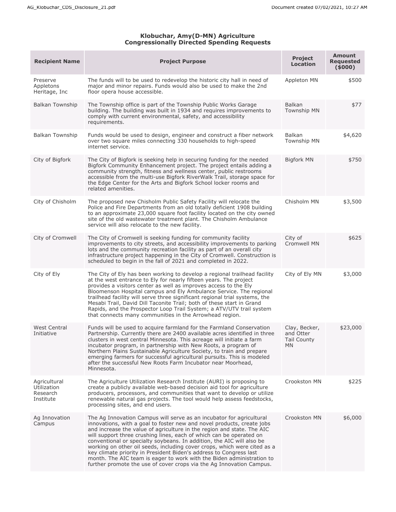## **Klobuchar, Amy(D-MN) Agriculture Congressionally Directed Spending Requests**

| <b>Recipient Name</b>                                | <b>Project Purpose</b>                                                                                                                                                                                                                                                                                                                                                                                                                                                                                                                                                                                                                                                      | <b>Project</b><br><b>Location</b>                             | <b>Amount</b><br><b>Requested</b><br>(5000) |
|------------------------------------------------------|-----------------------------------------------------------------------------------------------------------------------------------------------------------------------------------------------------------------------------------------------------------------------------------------------------------------------------------------------------------------------------------------------------------------------------------------------------------------------------------------------------------------------------------------------------------------------------------------------------------------------------------------------------------------------------|---------------------------------------------------------------|---------------------------------------------|
| Preserve<br>Appletons<br>Heritage, Inc               | The funds will to be used to redevelop the historic city hall in need of<br>major and minor repairs. Funds would also be used to make the 2nd<br>floor opera house accessible.                                                                                                                                                                                                                                                                                                                                                                                                                                                                                              | Appleton MN                                                   | \$500                                       |
| <b>Balkan Township</b>                               | The Township office is part of the Township Public Works Garage<br>building. The building was built in 1934 and requires improvements to<br>comply with current environmental, safety, and accessibility<br>requirements.                                                                                                                                                                                                                                                                                                                                                                                                                                                   | Balkan<br><b>Township MN</b>                                  | \$77                                        |
| <b>Balkan Township</b>                               | Funds would be used to design, engineer and construct a fiber network<br>over two square miles connecting 330 households to high-speed<br>internet service.                                                                                                                                                                                                                                                                                                                                                                                                                                                                                                                 | Balkan<br><b>Township MN</b>                                  | \$4,620                                     |
| City of Bigfork                                      | The City of Bigfork is seeking help in securing funding for the needed<br>Bigfork Community Enhancement project. The project entails adding a<br>community strength, fitness and wellness center, public restrooms<br>accessible from the multi-use Bigfork RiverWalk Trail, storage space for<br>the Edge Center for the Arts and Bigfork School locker rooms and<br>related amenities.                                                                                                                                                                                                                                                                                    | <b>Bigfork MN</b>                                             | \$750                                       |
| City of Chisholm                                     | The proposed new Chisholm Public Safety Facility will relocate the<br>Police and Fire Departments from an old totally deficient 1908 building<br>to an approximate 23,000 square foot facility located on the city owned<br>site of the old wastewater treatment plant. The Chisholm Ambulance<br>service will also relocate to the new facility.                                                                                                                                                                                                                                                                                                                           | Chisholm MN                                                   | \$3,500                                     |
| City of Cromwell                                     | The City of Cromwell is seeking funding for community facility<br>improvements to city streets, and accessibility improvements to parking<br>lots and the community recreation facility as part of an overall city<br>infrastructure project happening in the City of Cromwell. Construction is<br>scheduled to begin in the fall of 2021 and completed in 2022.                                                                                                                                                                                                                                                                                                            | City of<br><b>Cromwell MN</b>                                 | \$625                                       |
| City of Ely                                          | The City of Ely has been working to develop a regional trailhead facility<br>at the west entrance to Ely for nearly fifteen years. The project<br>provides a visitors center as well as improves access to the Ely<br>Bloomenson Hospital campus and Ely Ambulance Service. The regional<br>trailhead facility will serve three significant regional trial systems, the<br>Mesabi Trail, David Dill Taconite Trail; both of these start in Grand<br>Rapids, and the Prospector Loop Trail System; a ATV/UTV trail system<br>that connects many communities in the Arrowhead region.                                                                                         | City of Ely MN                                                | \$3,000                                     |
| <b>West Central</b><br>Initiative                    | Funds will be used to acquire farmland for the Farmland Conservation<br>Partnership. Currently there are 2400 available acres identified in three<br>clusters in west central Minnesota. This acreage will initiate a farm<br>incubator program, in partnership with New Roots, a program of<br>Northern Plains Sustainable Agriculture Society, to train and prepare<br>emerging farmers for successful agricultural pursuits. This is modeled<br>after the successful New Roots Farm Incubator near Moorhead,<br>Minnesota.                                                                                                                                               | Clay, Becker,<br>and Otter<br><b>Tail County</b><br><b>MN</b> | \$23,000                                    |
| Agricultural<br>Utilization<br>Research<br>Institute | The Agriculture Utilization Research Institute (AURI) is proposing to<br>create a publicly available web-based decision aid tool for agriculture<br>producers, processors, and communities that want to develop or utilize<br>renewable natural gas projects. The tool would help assess feedstocks,<br>processing sites, and end users.                                                                                                                                                                                                                                                                                                                                    | Crookston MN                                                  | \$225                                       |
| Ag Innovation<br>Campus                              | The Ag Innovation Campus will serve as an incubator for agricultural<br>innovations, with a goal to foster new and novel products, create jobs<br>and increase the value of agriculture in the region and state. The AIC<br>will support three crushing lines, each of which can be operated on<br>conventional or specialty soybeans. In addition, the AIC will also be<br>working on other oil seeds, including cover crops, which were cited as a<br>key climate priority in President Biden's address to Congress last<br>month. The AIC team is eager to work with the Biden administration to<br>further promote the use of cover crops via the Ag Innovation Campus. | Crookston MN                                                  | \$6,000                                     |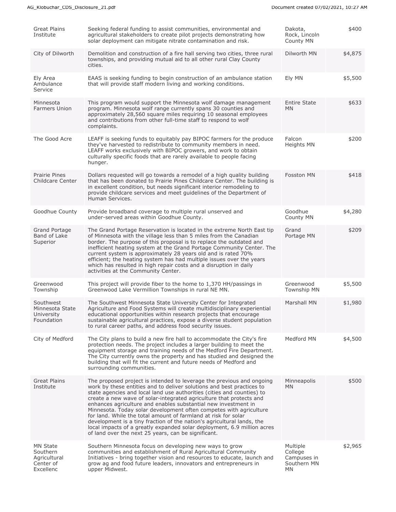| <b>Great Plains</b><br>Institute                                      | Seeking federal funding to assist communities, environmental and<br>agricultural stakeholders to create pilot projects demonstrating how<br>solar deployment can mitigate nitrate contamination and risk.                                                                                                                                                                                                                                                                                                                                                                                                                                                                                                             | Dakota,<br>Rock, Lincoln<br>County MN                   | \$400   |
|-----------------------------------------------------------------------|-----------------------------------------------------------------------------------------------------------------------------------------------------------------------------------------------------------------------------------------------------------------------------------------------------------------------------------------------------------------------------------------------------------------------------------------------------------------------------------------------------------------------------------------------------------------------------------------------------------------------------------------------------------------------------------------------------------------------|---------------------------------------------------------|---------|
| City of Dilworth                                                      | Demolition and construction of a fire hall serving two cities, three rural<br>townships, and providing mutual aid to all other rural Clay County<br>cities.                                                                                                                                                                                                                                                                                                                                                                                                                                                                                                                                                           | Dilworth MN                                             | \$4,875 |
| Ely Area<br>Ambulance<br>Service                                      | EAAS is seeking funding to begin construction of an ambulance station<br>that will provide staff modern living and working conditions.                                                                                                                                                                                                                                                                                                                                                                                                                                                                                                                                                                                | Ely MN                                                  | \$5,500 |
| Minnesota<br><b>Farmers Union</b>                                     | This program would support the Minnesota wolf damage management<br>program. Minnesota wolf range currently spans 30 counties and<br>approximately 28,560 square miles requiring 10 seasonal employees<br>and contributions from other full-time staff to respond to wolf<br>complaints.                                                                                                                                                                                                                                                                                                                                                                                                                               | <b>Entire State</b><br><b>MN</b>                        | \$633   |
| The Good Acre                                                         | LEAFF is seeking funds to equitably pay BIPOC farmers for the produce<br>they've harvested to redistribute to community members in need.<br>LEAFF works exclusively with BIPOC growers, and work to obtain<br>culturally specific foods that are rarely available to people facing<br>hunger.                                                                                                                                                                                                                                                                                                                                                                                                                         | Falcon<br>Heights MN                                    | \$200   |
| <b>Prairie Pines</b><br>Childcare Center                              | Dollars requested will go towards a remodel of a high quality building<br>that has been donated to Prairie Pines Childcare Center. The building is<br>in excellent condition, but needs significant interior remodeling to<br>provide childcare services and meet guidelines of the Department of<br>Human Services.                                                                                                                                                                                                                                                                                                                                                                                                  | Fosston MN                                              | \$418   |
| Goodhue County                                                        | Provide broadband coverage to multiple rural unserved and<br>under-served areas within Goodhue County.                                                                                                                                                                                                                                                                                                                                                                                                                                                                                                                                                                                                                | Goodhue<br>County MN                                    | \$4,280 |
| Grand Portage<br>Band of Lake<br>Superior                             | The Grand Portage Reservation is located in the extreme North East tip<br>of Minnesota with the village less than 5 miles from the Canadian<br>border. The purpose of this proposal is to replace the outdated and<br>inefficient heating system at the Grand Portage Community Center. The<br>current system is approximately 28 years old and is rated 70%<br>efficient; the heating system has had multiple issues over the years<br>which has resulted in high repair costs and a disruption in daily<br>activities at the Community Center.                                                                                                                                                                      | Grand<br>Portage MN                                     | \$209   |
| Greenwood<br>Township                                                 | This project will provide fiber to the home to 1,370 HH/passings in<br>Greenwood Lake Vermillion Townships in rural NE MN.                                                                                                                                                                                                                                                                                                                                                                                                                                                                                                                                                                                            | Greenwood<br><b>Township MN</b>                         | \$5,500 |
| Southwest<br>Minnesota State<br>University<br>Foundation              | The Southwest Minnesota State University Center for Integrated<br>Agriculture and Food Systems will create multidisciplinary experiential<br>educational opportunities within research projects that encourage<br>sustainable agricultural practices, expose a diverse student population<br>to rural career paths, and address food security issues.                                                                                                                                                                                                                                                                                                                                                                 | Marshall MN                                             | \$1,980 |
| City of Medford                                                       | The City plans to build a new fire hall to accommodate the City's fire<br>protection needs. The project includes a larger building to meet the<br>equipment storage and training needs of the Medford Fire Department.<br>The City currently owns the property and has studied and designed the<br>building that will fit the current and future needs of Medford and<br>surrounding communities.                                                                                                                                                                                                                                                                                                                     | Medford MN                                              | \$4,500 |
| <b>Great Plains</b><br>Institute                                      | The proposed project is intended to leverage the previous and ongoing<br>work by these entities and to deliver solutions and best practices to<br>state agencies and local land use authorities (cities and counties) to<br>create a new wave of solar-integrated agriculture that protects and<br>enhances agriculture and enables substantial new investment in<br>Minnesota. Today solar development often competes with agriculture<br>for land. While the total amount of farmland at risk for solar<br>development is a tiny fraction of the nation's agricultural lands, the<br>local impacts of a greatly expanded solar deployment, 6.9 million acres<br>of land over the next 25 years, can be significant. | Minneapolis<br><b>MN</b>                                | \$500   |
| <b>MN State</b><br>Southern<br>Agricultural<br>Center of<br>Excellenc | Southern Minnesota focus on developing new ways to grow<br>communities and establishment of Rural Agricultural Community<br>Initiatives - bring together vision and resources to educate, launch and<br>grow ag and food future leaders, innovators and entrepreneurs in<br>upper Midwest.                                                                                                                                                                                                                                                                                                                                                                                                                            | Multiple<br>College<br>Campuses in<br>Southern MN<br>MN | \$2,965 |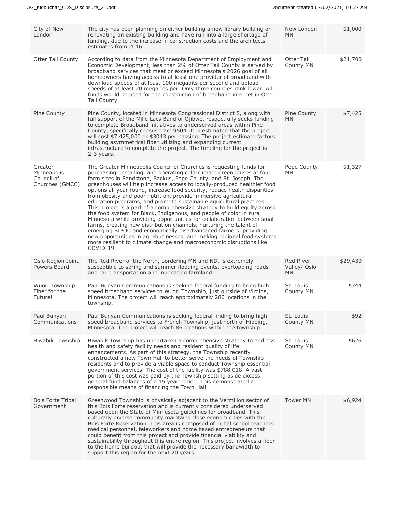| City of New<br>London                                   | The city has been planning on either building a new library building or<br>renovating an existing building and have run into a large shortage of<br>funding, due to the increase in construction costs and the architects<br>estimates from 2016.                                                                                                                                                                                                                                                                                                                                                                                                                                                                                                                                                                                                                                                                                                                                                                                                            | New London<br><b>MN</b>                | \$1,000  |
|---------------------------------------------------------|--------------------------------------------------------------------------------------------------------------------------------------------------------------------------------------------------------------------------------------------------------------------------------------------------------------------------------------------------------------------------------------------------------------------------------------------------------------------------------------------------------------------------------------------------------------------------------------------------------------------------------------------------------------------------------------------------------------------------------------------------------------------------------------------------------------------------------------------------------------------------------------------------------------------------------------------------------------------------------------------------------------------------------------------------------------|----------------------------------------|----------|
| <b>Otter Tail County</b>                                | According to data from the Minnesota Department of Employment and<br>Economic Development, less than 2% of Otter Tail County is served by<br>broadband services that meet or exceed Minnesota's 2026 goal of all<br>homeowners having access to at least one provider of broadband with<br>download speeds of at least 100 megabits per second and upload<br>speeds of at least 20 megabits per. Only three counties rank lower. All<br>funds would be used for the construction of broadband internet in Otter<br>Tail County.                                                                                                                                                                                                                                                                                                                                                                                                                                                                                                                              | Otter Tail<br>County MN                | \$21,700 |
| Pine County                                             | Pine County, located in Minnesota Congressional District 8, along with<br>full support of the Mille Lacs Band of Ojibwe, respectfully seeks funding<br>to complete Broadband initiatives to underserved areas within Pine<br>County, specifically census tract 9504. It is estimated that the project<br>will cost \$7,425,000 or \$3043 per passing. The project estimate factors<br>building asymmetrical fiber utilizing and expanding current<br>infrastructure to complete the project. The timeline for the project is<br>2-3 years.                                                                                                                                                                                                                                                                                                                                                                                                                                                                                                                   | Pine County<br><b>MN</b>               | \$7,425  |
| Greater<br>Minneapolis<br>Council of<br>Churches (GMCC) | The Greater Minneapolis Council of Churches is requesting funds for<br>purchasing, installing, and operating cold-climate greenhouses at four<br>farm sites in Sandstone, Backus, Pope County, and St. Joseph. The<br>greenhouses will help increase access to locally-produced healthier food<br>options all year round, increase food security, reduce health disparities<br>from obesity and poor nutrition, provide immersive agricultural<br>education programs, and promote sustainable agricultural practices.<br>This project is a part of a comprehensive strategy to build equity across<br>the food system for Black, Indigenous, and people of color in rural<br>Minnesota while providing opportunities for collaboration between small<br>farms, creating new distribution channels, nurturing the talent of<br>emerging BIPOC and economically disadvantaged farmers, providing<br>new opportunities in agri-businesses, and making regional food systems<br>more resilient to climate change and macroeconomic disruptions like<br>COVID-19. | Pope County<br><b>MN</b>               | \$1,327  |
| Oslo Region Joint<br>Powers Board                       | The Red River of the North, bordering MN and ND, is extremely<br>susceptible to spring and summer flooding events, overtopping roads<br>and rail transportation and inundating farmland.                                                                                                                                                                                                                                                                                                                                                                                                                                                                                                                                                                                                                                                                                                                                                                                                                                                                     | Red River<br>Valley/ Oslo<br><b>MN</b> | \$29,430 |
| Wuori Township<br>Fiber for the<br>Future!              | Paul Bunyan Communications is seeking federal funding to bring high<br>speed broadband services to Wuori Township, just outside of Virgina,<br>Minnesota. The project will reach approximately 280 locations in the<br>township.                                                                                                                                                                                                                                                                                                                                                                                                                                                                                                                                                                                                                                                                                                                                                                                                                             | St. Louis<br>County MN                 | \$744    |
| Paul Bunyan<br>Communications                           | Paul Bunyan Communications is seeking federal finding to bring high<br>speed broadband services to French Township, just north of Hibbing,<br>Minnesota. The project will reach 86 locations within the township.                                                                                                                                                                                                                                                                                                                                                                                                                                                                                                                                                                                                                                                                                                                                                                                                                                            | St. Louis<br>County MN                 | \$92     |
| <b>Biwabik Township</b>                                 | Biwabik Township has undertaken a comprehensive strategy to address<br>health and safety facility needs and resident quality of life<br>enhancements. As part of this strategy, the Township recently<br>constructed a new Town Hall to better serve the needs of Township<br>residents and to provide a viable space to conduct Township essential<br>government services. The cost of the facility was \$788,018. A vast<br>portion of this cost was paid by the Township setting aside excess<br>general fund balances of a 15 year period. This demonstrated a<br>responsible means of financing the Town Hall.                                                                                                                                                                                                                                                                                                                                                                                                                                          | St. Louis<br>County MN                 | \$626    |
| <b>Bois Forte Tribal</b><br>Government                  | Greenwood Township is physically adjacent to the Vermilion sector of<br>this Bois Forte reservation and is currently considered underserved<br>based upon the State of Minnesota guidelines for broadband. This<br>culturally diverse community maintains close economic ties with the<br>Bois Forte Reservation. This area is composed of Tribal school teachers,<br>medical personnel, teleworkers and home based entrepreneurs that<br>could benefit from this project and provide financial viability and<br>sustainability throughout this entire region. This project involves a fiber<br>to the home buildout that will provide the necessary bandwidth to<br>support this region for the next 20 years.                                                                                                                                                                                                                                                                                                                                              | <b>Tower MN</b>                        | \$6,924  |